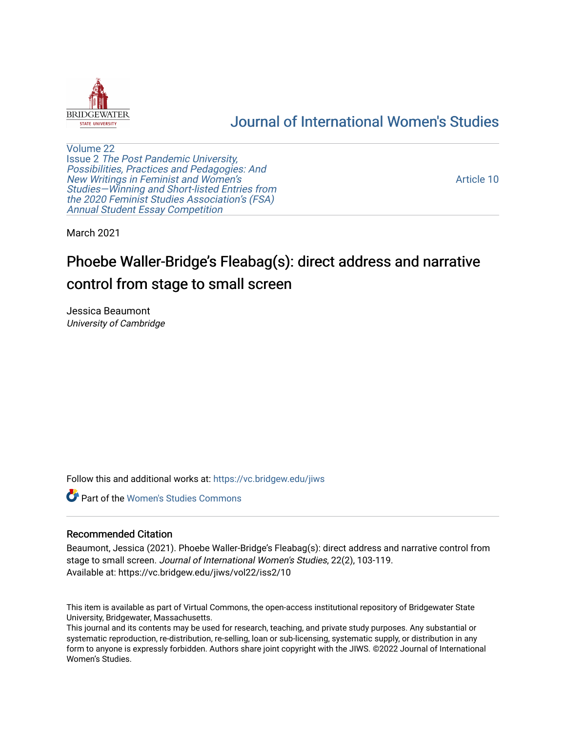

## [Journal of International Women's Studies](https://vc.bridgew.edu/jiws)

[Volume 22](https://vc.bridgew.edu/jiws/vol22) Issue 2 [The Post Pandemic University,](https://vc.bridgew.edu/jiws/vol22/iss2) [Possibilities, Practices and Pedagogies: And](https://vc.bridgew.edu/jiws/vol22/iss2)  [New Writings in Feminist and Women's](https://vc.bridgew.edu/jiws/vol22/iss2) [Studies—Winning and Short-listed Entries from](https://vc.bridgew.edu/jiws/vol22/iss2) [the 2020 Feminist Studies Association's \(FSA\)](https://vc.bridgew.edu/jiws/vol22/iss2) [Annual Student Essay Competition](https://vc.bridgew.edu/jiws/vol22/iss2) 

[Article 10](https://vc.bridgew.edu/jiws/vol22/iss2/10) 

March 2021

# Phoebe Waller-Bridge's Fleabag(s): direct address and narrative control from stage to small screen

Jessica Beaumont University of Cambridge

Follow this and additional works at: [https://vc.bridgew.edu/jiws](https://vc.bridgew.edu/jiws?utm_source=vc.bridgew.edu%2Fjiws%2Fvol22%2Fiss2%2F10&utm_medium=PDF&utm_campaign=PDFCoverPages)

**Part of the Women's Studies Commons** 

#### Recommended Citation

Beaumont, Jessica (2021). Phoebe Waller-Bridge's Fleabag(s): direct address and narrative control from stage to small screen. Journal of International Women's Studies, 22(2), 103-119. Available at: https://vc.bridgew.edu/jiws/vol22/iss2/10

This item is available as part of Virtual Commons, the open-access institutional repository of Bridgewater State University, Bridgewater, Massachusetts.

This journal and its contents may be used for research, teaching, and private study purposes. Any substantial or systematic reproduction, re-distribution, re-selling, loan or sub-licensing, systematic supply, or distribution in any form to anyone is expressly forbidden. Authors share joint copyright with the JIWS. ©2022 Journal of International Women's Studies.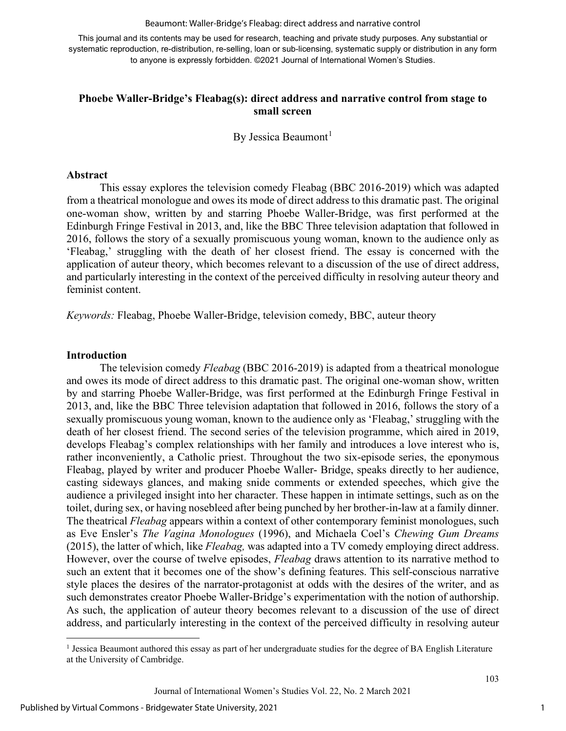Beaumont: Waller-Bridge's Fleabag: direct address and narrative control

This journal and its contents may be used for research, teaching and private study purposes. Any substantial or systematic reproduction, re-distribution, re-selling, loan or sub-licensing, systematic supply or distribution in any form to anyone is expressly forbidden. ©2021 Journal of International Women's Studies.

## **Phoebe Waller-Bridge's Fleabag(s): direct address and narrative control from stage to small screen**

By Jessica Beaumont<sup>[1](#page-1-0)</sup>

#### **Abstract**

This essay explores the television comedy Fleabag (BBC 2016-2019) which was adapted from a theatrical monologue and owes its mode of direct address to this dramatic past. The original one-woman show, written by and starring Phoebe Waller-Bridge, was first performed at the Edinburgh Fringe Festival in 2013, and, like the BBC Three television adaptation that followed in 2016, follows the story of a sexually promiscuous young woman, known to the audience only as 'Fleabag,' struggling with the death of her closest friend. The essay is concerned with the application of auteur theory, which becomes relevant to a discussion of the use of direct address, and particularly interesting in the context of the perceived difficulty in resolving auteur theory and feminist content.

*Keywords:* Fleabag, Phoebe Waller-Bridge, television comedy, BBC, auteur theory

#### **Introduction**

The television comedy *Fleabag* (BBC 2016-2019) is adapted from a theatrical monologue and owes its mode of direct address to this dramatic past. The original one-woman show, written by and starring Phoebe Waller-Bridge, was first performed at the Edinburgh Fringe Festival in 2013, and, like the BBC Three television adaptation that followed in 2016, follows the story of a sexually promiscuous young woman, known to the audience only as 'Fleabag,' struggling with the death of her closest friend. The second series of the television programme, which aired in 2019, develops Fleabag's complex relationships with her family and introduces a love interest who is, rather inconveniently, a Catholic priest. Throughout the two six-episode series, the eponymous Fleabag, played by writer and producer Phoebe Waller- Bridge, speaks directly to her audience, casting sideways glances, and making snide comments or extended speeches, which give the audience a privileged insight into her character. These happen in intimate settings, such as on the toilet, during sex, or having nosebleed after being punched by her brother-in-law at a family dinner. The theatrical *Fleabag* appears within a context of other contemporary feminist monologues, such as Eve Ensler's *The Vagina Monologues* (1996), and Michaela Coel's *Chewing Gum Dreams*  (2015), the latter of which, like *Fleabag,* was adapted into a TV comedy employing direct address. However, over the course of twelve episodes, *Fleabag* draws attention to its narrative method to such an extent that it becomes one of the show's defining features. This self-conscious narrative style places the desires of the narrator-protagonist at odds with the desires of the writer, and as such demonstrates creator Phoebe Waller-Bridge's experimentation with the notion of authorship. As such, the application of auteur theory becomes relevant to a discussion of the use of direct address, and particularly interesting in the context of the perceived difficulty in resolving auteur

<span id="page-1-0"></span><sup>&</sup>lt;sup>1</sup> Jessica Beaumont authored this essay as part of her undergraduate studies for the degree of BA English Literature at the University of Cambridge.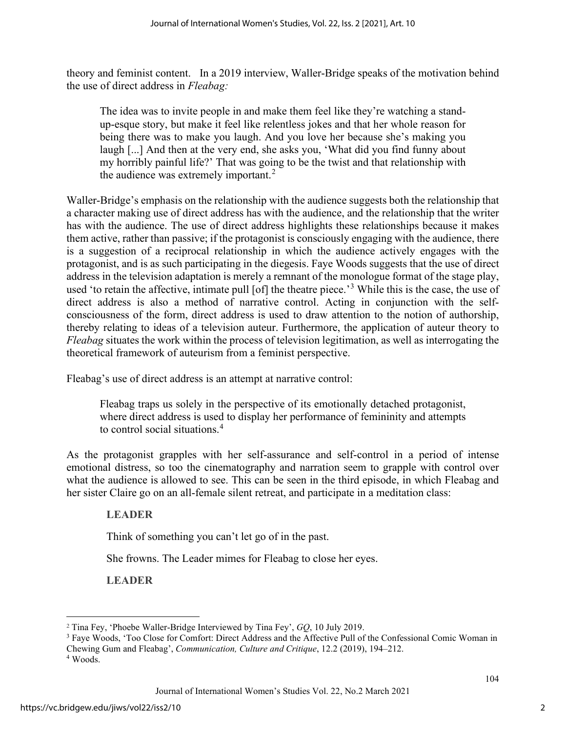theory and feminist content. In a 2019 interview, Waller-Bridge speaks of the motivation behind the use of direct address in *Fleabag:* 

The idea was to invite people in and make them feel like they're watching a standup-esque story, but make it feel like relentless jokes and that her whole reason for being there was to make you laugh. And you love her because she's making you laugh [...] And then at the very end, she asks you, 'What did you find funny about my horribly painful life?' That was going to be the twist and that relationship with the audience was extremely important. $<sup>2</sup>$  $<sup>2</sup>$  $<sup>2</sup>$ </sup>

Waller-Bridge's emphasis on the relationship with the audience suggests both the relationship that a character making use of direct address has with the audience, and the relationship that the writer has with the audience. The use of direct address highlights these relationships because it makes them active, rather than passive; if the protagonist is consciously engaging with the audience, there is a suggestion of a reciprocal relationship in which the audience actively engages with the protagonist, and is as such participating in the diegesis. Faye Woods suggests that the use of direct address in the television adaptation is merely a remnant of the monologue format of the stage play, used 'to retain the affective, intimate pull [of] the theatre piece.<sup>[3](#page-2-1)</sup> While this is the case, the use of direct address is also a method of narrative control. Acting in conjunction with the selfconsciousness of the form, direct address is used to draw attention to the notion of authorship, thereby relating to ideas of a television auteur. Furthermore, the application of auteur theory to *Fleabag* situates the work within the process of television legitimation, as well as interrogating the theoretical framework of auteurism from a feminist perspective.

Fleabag's use of direct address is an attempt at narrative control:

Fleabag traps us solely in the perspective of its emotionally detached protagonist, where direct address is used to display her performance of femininity and attempts to control social situations.[4](#page-2-2)

As the protagonist grapples with her self-assurance and self-control in a period of intense emotional distress, so too the cinematography and narration seem to grapple with control over what the audience is allowed to see. This can be seen in the third episode, in which Fleabag and her sister Claire go on an all-female silent retreat, and participate in a meditation class:

## **LEADER**

Think of something you can't let go of in the past.

She frowns. The Leader mimes for Fleabag to close her eyes.

**LEADER**

<sup>2</sup> Tina Fey, 'Phoebe Waller-Bridge Interviewed by Tina Fey', *GQ*, 10 July 2019.

<span id="page-2-1"></span><span id="page-2-0"></span><sup>3</sup> Faye Woods, 'Too Close for Comfort: Direct Address and the Affective Pull of the Confessional Comic Woman in Chewing Gum and Fleabag', *Communication, Culture and Critique*, 12.2 (2019), 194–212.

<span id="page-2-2"></span><sup>4</sup> Woods.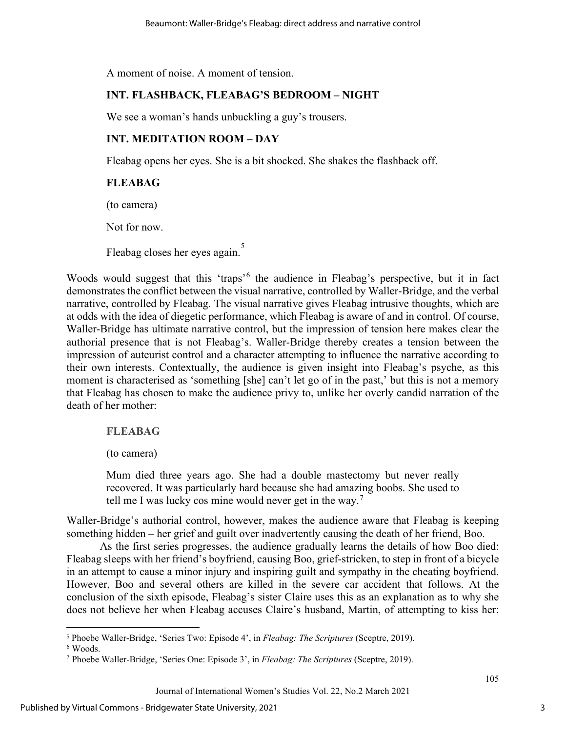A moment of noise. A moment of tension.

## **INT. FLASHBACK, FLEABAG'S BEDROOM – NIGHT**

We see a woman's hands unbuckling a guy's trousers.

## **INT. MEDITATION ROOM – DAY**

Fleabag opens her eyes. She is a bit shocked. She shakes the flashback off.

## **FLEABAG**

(to camera)

Not for now.

Fleabag closes her eyes again.<sup>[5](#page-3-0)</sup>

Woods would suggest that this 'traps'[6](#page-3-1) the audience in Fleabag's perspective, but it in fact demonstrates the conflict between the visual narrative, controlled by Waller-Bridge, and the verbal narrative, controlled by Fleabag. The visual narrative gives Fleabag intrusive thoughts, which are at odds with the idea of diegetic performance, which Fleabag is aware of and in control. Of course, Waller-Bridge has ultimate narrative control, but the impression of tension here makes clear the authorial presence that is not Fleabag's. Waller-Bridge thereby creates a tension between the impression of auteurist control and a character attempting to influence the narrative according to their own interests. Contextually, the audience is given insight into Fleabag's psyche, as this moment is characterised as 'something [she] can't let go of in the past,' but this is not a memory that Fleabag has chosen to make the audience privy to, unlike her overly candid narration of the death of her mother:

## **FLEABAG**

(to camera)

Mum died three years ago. She had a double mastectomy but never really recovered. It was particularly hard because she had amazing boobs. She used to tell me I was lucky cos mine would never get in the way.<sup>[7](#page-3-2)</sup>

Waller-Bridge's authorial control, however, makes the audience aware that Fleabag is keeping something hidden – her grief and guilt over inadvertently causing the death of her friend, Boo.

As the first series progresses, the audience gradually learns the details of how Boo died: Fleabag sleeps with her friend's boyfriend, causing Boo, grief-stricken, to step in front of a bicycle in an attempt to cause a minor injury and inspiring guilt and sympathy in the cheating boyfriend. However, Boo and several others are killed in the severe car accident that follows. At the conclusion of the sixth episode, Fleabag's sister Claire uses this as an explanation as to why she does not believe her when Fleabag accuses Claire's husband, Martin, of attempting to kiss her:

<span id="page-3-0"></span><sup>5</sup> Phoebe Waller-Bridge, 'Series Two: Episode 4', in *Fleabag: The Scriptures* (Sceptre, 2019).

<span id="page-3-1"></span> $6$  Woods.

<span id="page-3-2"></span><sup>7</sup> Phoebe Waller-Bridge, 'Series One: Episode 3', in *Fleabag: The Scriptures* (Sceptre, 2019).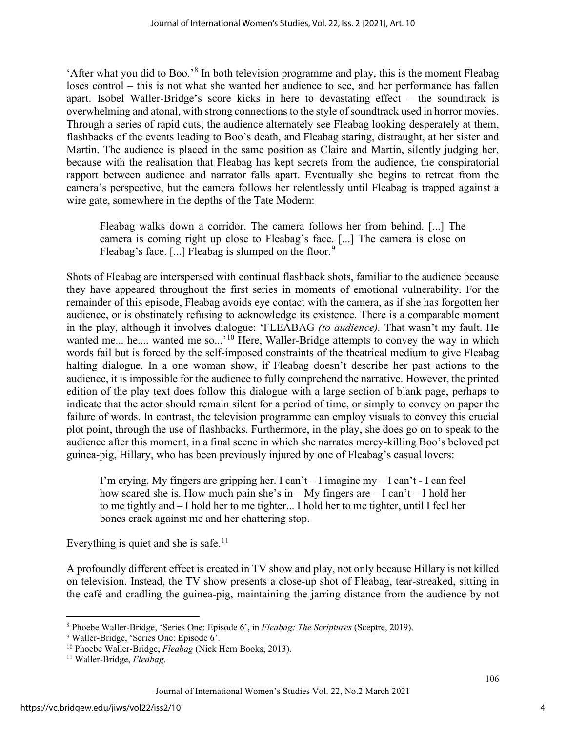'After what you did to Boo.'[8](#page-4-0) In both television programme and play, this is the moment Fleabag loses control – this is not what she wanted her audience to see, and her performance has fallen apart. Isobel Waller-Bridge's score kicks in here to devastating effect – the soundtrack is overwhelming and atonal, with strong connections to the style of soundtrack used in horror movies. Through a series of rapid cuts, the audience alternately see Fleabag looking desperately at them, flashbacks of the events leading to Boo's death, and Fleabag staring, distraught, at her sister and Martin. The audience is placed in the same position as Claire and Martin, silently judging her, because with the realisation that Fleabag has kept secrets from the audience, the conspiratorial rapport between audience and narrator falls apart. Eventually she begins to retreat from the camera's perspective, but the camera follows her relentlessly until Fleabag is trapped against a wire gate, somewhere in the depths of the Tate Modern:

Fleabag walks down a corridor. The camera follows her from behind. [...] The camera is coming right up close to Fleabag's face. [...] The camera is close on Fleabag's face. [...] Fleabag is slumped on the floor.<sup>[9](#page-4-1)</sup>

Shots of Fleabag are interspersed with continual flashback shots, familiar to the audience because they have appeared throughout the first series in moments of emotional vulnerability. For the remainder of this episode, Fleabag avoids eye contact with the camera, as if she has forgotten her audience, or is obstinately refusing to acknowledge its existence. There is a comparable moment in the play, although it involves dialogue: 'FLEABAG *(to audience).* That wasn't my fault. He wanted me... he.... wanted me so...'<sup>[10](#page-4-2)</sup> Here, Waller-Bridge attempts to convey the way in which words fail but is forced by the self-imposed constraints of the theatrical medium to give Fleabag halting dialogue. In a one woman show, if Fleabag doesn't describe her past actions to the audience, it is impossible for the audience to fully comprehend the narrative. However, the printed edition of the play text does follow this dialogue with a large section of blank page, perhaps to indicate that the actor should remain silent for a period of time, or simply to convey on paper the failure of words. In contrast, the television programme can employ visuals to convey this crucial plot point, through the use of flashbacks. Furthermore, in the play, she does go on to speak to the audience after this moment, in a final scene in which she narrates mercy-killing Boo's beloved pet guinea-pig, Hillary, who has been previously injured by one of Fleabag's casual lovers:

I'm crying. My fingers are gripping her. I can't – I imagine my – I can't - I can feel how scared she is. How much pain she's in – My fingers are – I can't – I hold her to me tightly and – I hold her to me tighter... I hold her to me tighter, until I feel her bones crack against me and her chattering stop.

Everything is quiet and she is safe.<sup>11</sup>

A profoundly different effect is created in TV show and play, not only because Hillary is not killed on television. Instead, the TV show presents a close-up shot of Fleabag, tear-streaked, sitting in the café and cradling the guinea-pig, maintaining the jarring distance from the audience by not

<span id="page-4-0"></span><sup>8</sup> Phoebe Waller-Bridge, 'Series One: Episode 6', in *Fleabag: The Scriptures* (Sceptre, 2019).

<span id="page-4-1"></span><sup>9</sup> Waller-Bridge, 'Series One: Episode 6'.

<span id="page-4-2"></span><sup>10</sup> Phoebe Waller-Bridge, *Fleabag* (Nick Hern Books, 2013).

<span id="page-4-3"></span><sup>11</sup> Waller-Bridge, *Fleabag*.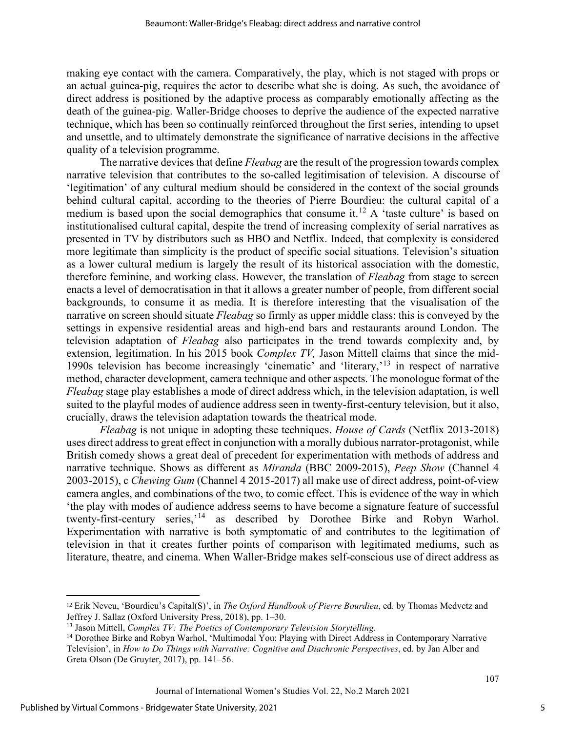making eye contact with the camera. Comparatively, the play, which is not staged with props or an actual guinea-pig, requires the actor to describe what she is doing. As such, the avoidance of direct address is positioned by the adaptive process as comparably emotionally affecting as the death of the guinea-pig. Waller-Bridge chooses to deprive the audience of the expected narrative technique, which has been so continually reinforced throughout the first series, intending to upset and unsettle, and to ultimately demonstrate the significance of narrative decisions in the affective quality of a television programme.

The narrative devices that define *Fleabag* are the result of the progression towards complex narrative television that contributes to the so-called legitimisation of television. A discourse of 'legitimation' of any cultural medium should be considered in the context of the social grounds behind cultural capital, according to the theories of Pierre Bourdieu: the cultural capital of a medium is based upon the social demographics that consume it.<sup>[12](#page-5-0)</sup> A 'taste culture' is based on institutionalised cultural capital, despite the trend of increasing complexity of serial narratives as presented in TV by distributors such as HBO and Netflix. Indeed, that complexity is considered more legitimate than simplicity is the product of specific social situations. Television's situation as a lower cultural medium is largely the result of its historical association with the domestic, therefore feminine, and working class. However, the translation of *Fleabag* from stage to screen enacts a level of democratisation in that it allows a greater number of people, from different social backgrounds, to consume it as media. It is therefore interesting that the visualisation of the narrative on screen should situate *Fleabag* so firmly as upper middle class: this is conveyed by the settings in expensive residential areas and high-end bars and restaurants around London. The television adaptation of *Fleabag* also participates in the trend towards complexity and, by extension, legitimation. In his 2015 book *Complex TV,* Jason Mittell claims that since the mid-1990s television has become increasingly 'cinematic' and 'literary,'[13](#page-5-1) in respect of narrative method, character development, camera technique and other aspects. The monologue format of the *Fleabag* stage play establishes a mode of direct address which, in the television adaptation, is well suited to the playful modes of audience address seen in twenty-first-century television, but it also, crucially, draws the television adaptation towards the theatrical mode.

*Fleabag* is not unique in adopting these techniques. *House of Cards* (Netflix 2013-2018) uses direct address to great effect in conjunction with a morally dubious narrator-protagonist, while British comedy shows a great deal of precedent for experimentation with methods of address and narrative technique. Shows as different as *Miranda* (BBC 2009-2015), *Peep Show* (Channel 4 2003-2015), c *Chewing Gum* (Channel 4 2015-2017) all make use of direct address, point-of-view camera angles, and combinations of the two, to comic effect. This is evidence of the way in which 'the play with modes of audience address seems to have become a signature feature of successful twenty-first-century series,'[14](#page-5-2) as described by Dorothee Birke and Robyn Warhol. Experimentation with narrative is both symptomatic of and contributes to the legitimation of television in that it creates further points of comparison with legitimated mediums, such as literature, theatre, and cinema. When Waller-Bridge makes self-conscious use of direct address as

<span id="page-5-0"></span><sup>12</sup> Erik Neveu, 'Bourdieu's Capital(S)', in *The Oxford Handbook of Pierre Bourdieu*, ed. by Thomas Medvetz and Jeffrey J. Sallaz (Oxford University Press, 2018), pp. 1–30.

<span id="page-5-2"></span><span id="page-5-1"></span><sup>&</sup>lt;sup>13</sup> Jason Mittell, *Complex TV: The Poetics of Contemporary Television Storytelling*.<br><sup>14</sup> Dorothee Birke and Robyn Warhol, 'Multimodal You: Playing with Direct Address in Contemporary Narrative Television', in *How to Do Things with Narrative: Cognitive and Diachronic Perspectives*, ed. by Jan Alber and Greta Olson (De Gruyter, 2017), pp. 141–56.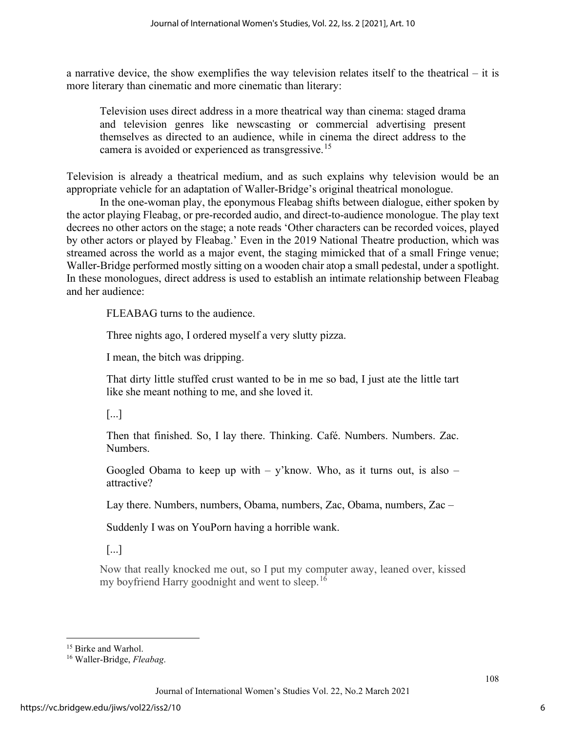a narrative device, the show exemplifies the way television relates itself to the theatrical – it is more literary than cinematic and more cinematic than literary:

Television uses direct address in a more theatrical way than cinema: staged drama and television genres like newscasting or commercial advertising present themselves as directed to an audience, while in cinema the direct address to the camera is avoided or experienced as transgressive.<sup>15</sup>

Television is already a theatrical medium, and as such explains why television would be an appropriate vehicle for an adaptation of Waller-Bridge's original theatrical monologue.

In the one-woman play, the eponymous Fleabag shifts between dialogue, either spoken by the actor playing Fleabag, or pre-recorded audio, and direct-to-audience monologue. The play text decrees no other actors on the stage; a note reads 'Other characters can be recorded voices, played by other actors or played by Fleabag.' Even in the 2019 National Theatre production, which was streamed across the world as a major event, the staging mimicked that of a small Fringe venue; Waller-Bridge performed mostly sitting on a wooden chair atop a small pedestal, under a spotlight. In these monologues, direct address is used to establish an intimate relationship between Fleabag and her audience:

FLEABAG turns to the audience.

Three nights ago, I ordered myself a very slutty pizza.

I mean, the bitch was dripping.

That dirty little stuffed crust wanted to be in me so bad, I just ate the little tart like she meant nothing to me, and she loved it.

[...]

Then that finished. So, I lay there. Thinking. Café. Numbers. Numbers. Zac. Numbers.

Googled Obama to keep up with  $-$  y'know. Who, as it turns out, is also  $$ attractive?

Lay there. Numbers, numbers, Obama, numbers, Zac, Obama, numbers, Zac –

Suddenly I was on YouPorn having a horrible wank.

[...]

Now that really knocked me out, so I put my computer away, leaned over, kissed my boyfriend Harry goodnight and went to sleep.<sup>[16](#page-6-1)</sup>

<span id="page-6-0"></span><sup>&</sup>lt;sup>15</sup> Birke and Warhol.

<span id="page-6-1"></span><sup>16</sup> Waller-Bridge, *Fleabag*.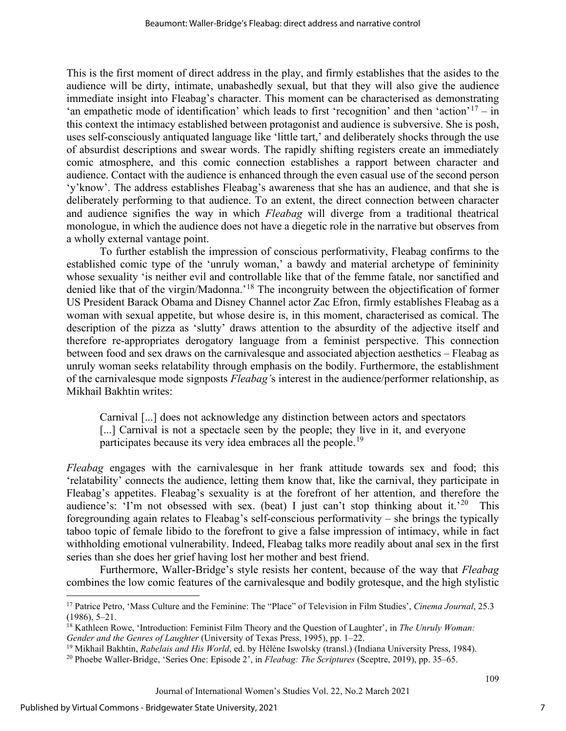This is the first moment of direct address in the play, and firmly establishes that the asides to the audience will be dirty, intimate, unabashedly sexual, but that they will also give the audience immediate insight into Fleabag's character. This moment can be characterised as demonstrating 'an empathetic mode of identification' which leads to first 'recognition' and then 'action'<sup>[17](#page-7-0)</sup> – in this context the intimacy established between protagonist and audience is subversive. She is posh, uses self-consciously antiquated language like 'little tart,' and deliberately shocks through the use of absurdist descriptions and swear words. The rapidly shifting registers create an immediately comic atmosphere, and this comic connection establishes a rapport between character and audience. Contact with the audience is enhanced through the even casual use of the second person 'y'know'. The address establishes Fleabag's awareness that she has an audience, and that she is deliberately performing to that audience. To an extent, the direct connection between character and audience signifies the way in which *Fleabag* will diverge from a traditional theatrical monologue, in which the audience does not have a diegetic role in the narrative but observes from a wholly external vantage point.

To further establish the impression of conscious performativity, Fleabag confirms to the established comic type of the 'unruly woman,' a bawdy and material archetype of femininity whose sexuality 'is neither evil and controllable like that of the femme fatale, nor sanctified and denied like that of the virgin/Madonna.'[18](#page-7-1) The incongruity between the objectification of former US President Barack Obama and Disney Channel actor Zac Efron, firmly establishes Fleabag as a woman with sexual appetite, but whose desire is, in this moment, characterised as comical. The description of the pizza as 'slutty' draws attention to the absurdity of the adjective itself and therefore re-appropriates derogatory language from a feminist perspective. This connection between food and sex draws on the carnivalesque and associated abjection aesthetics – Fleabag as unruly woman seeks relatability through emphasis on the bodily. Furthermore, the establishment of the carnivalesque mode signposts *Fleabag'*s interest in the audience/performer relationship, as Mikhail Bakhtin writes:

Carnival [...] does not acknowledge any distinction between actors and spectators [...] Carnival is not a spectacle seen by the people; they live in it, and everyone participates because its very idea embraces all the people.<sup>[19](#page-7-2)</sup>

*Fleabag* engages with the carnivalesque in her frank attitude towards sex and food; this 'relatability' connects the audience, letting them know that, like the carnival, they participate in Fleabag's appetites. Fleabag's sexuality is at the forefront of her attention, and therefore the audience's: 'I'm not obsessed with sex. (beat) I just can't stop thinking about it.'<sup>20</sup> This foregrounding again relates to Fleabag's self-conscious performativity – she brings the typically taboo topic of female libido to the forefront to give a false impression of intimacy, while in fact withholding emotional vulnerability. Indeed, Fleabag talks more readily about anal sex in the first series than she does her grief having lost her mother and best friend.

Furthermore, Waller-Bridge's style resists her content, because of the way that *Fleabag*  combines the low comic features of the carnivalesque and bodily grotesque, and the high stylistic

<span id="page-7-0"></span><sup>17</sup> Patrice Petro, 'Mass Culture and the Feminine: The "Place" of Television in Film Studies', *Cinema Journal*, 25.3 (1986), 5–21.

<span id="page-7-1"></span><sup>18</sup> Kathleen Rowe, 'Introduction: Feminist Film Theory and the Question of Laughter', in *The Unruly Woman: Gender and the Genres of Laughter* (University of Texas Press, 1995), pp. 1–22.

<span id="page-7-2"></span><sup>&</sup>lt;sup>19</sup> Mikhail Bakhtin, *Rabelais and His World*, ed. by Hélène Iswolsky (transl.) (Indiana University Press, 1984).

<span id="page-7-3"></span><sup>20</sup> Phoebe Waller-Bridge, 'Series One: Episode 2', in *Fleabag: The Scriptures* (Sceptre, 2019), pp. 35–65.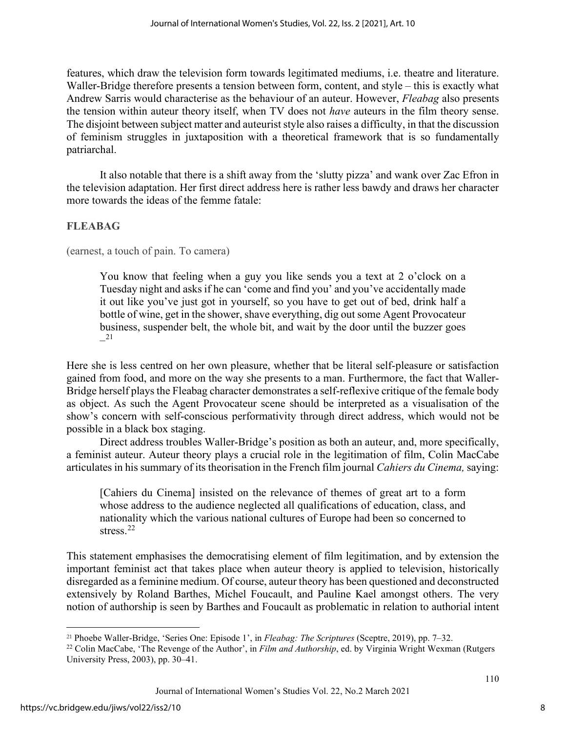features, which draw the television form towards legitimated mediums, i.e. theatre and literature. Waller-Bridge therefore presents a tension between form, content, and style – this is exactly what Andrew Sarris would characterise as the behaviour of an auteur. However, *Fleabag* also presents the tension within auteur theory itself, when TV does not *have* auteurs in the film theory sense. The disjoint between subject matter and auteurist style also raises a difficulty, in that the discussion of feminism struggles in juxtaposition with a theoretical framework that is so fundamentally patriarchal.

It also notable that there is a shift away from the 'slutty pizza' and wank over Zac Efron in the television adaptation. Her first direct address here is rather less bawdy and draws her character more towards the ideas of the femme fatale:

## **FLEABAG**

(earnest, a touch of pain. To camera)

You know that feeling when a guy you like sends you a text at 2 o'clock on a Tuesday night and asks if he can 'come and find you' and you've accidentally made it out like you've just got in yourself, so you have to get out of bed, drink half a bottle of wine, get in the shower, shave everything, dig out some Agent Provocateur business, suspender belt, the whole bit, and wait by the door until the buzzer goes –[21](#page-8-0)

Here she is less centred on her own pleasure, whether that be literal self-pleasure or satisfaction gained from food, and more on the way she presents to a man. Furthermore, the fact that Waller-Bridge herself plays the Fleabag character demonstrates a self-reflexive critique of the female body as object. As such the Agent Provocateur scene should be interpreted as a visualisation of the show's concern with self-conscious performativity through direct address, which would not be possible in a black box staging.

Direct address troubles Waller-Bridge's position as both an auteur, and, more specifically, a feminist auteur. Auteur theory plays a crucial role in the legitimation of film, Colin MacCabe articulates in his summary of its theorisation in the French film journal *Cahiers du Cinema,* saying:

[Cahiers du Cinema] insisted on the relevance of themes of great art to a form whose address to the audience neglected all qualifications of education, class, and nationality which the various national cultures of Europe had been so concerned to stress.<sup>[22](#page-8-1)</sup>

This statement emphasises the democratising element of film legitimation, and by extension the important feminist act that takes place when auteur theory is applied to television, historically disregarded as a feminine medium. Of course, auteur theory has been questioned and deconstructed extensively by Roland Barthes, Michel Foucault, and Pauline Kael amongst others. The very notion of authorship is seen by Barthes and Foucault as problematic in relation to authorial intent

<span id="page-8-0"></span><sup>21</sup> Phoebe Waller-Bridge, 'Series One: Episode 1', in *Fleabag: The Scriptures* (Sceptre, 2019), pp. 7–32.

<span id="page-8-1"></span><sup>&</sup>lt;sup>22</sup> Colin MacCabe, 'The Revenge of the Author', in *Film and Authorship*, ed. by Virginia Wright Wexman (Rutgers University Press, 2003), pp. 30–41.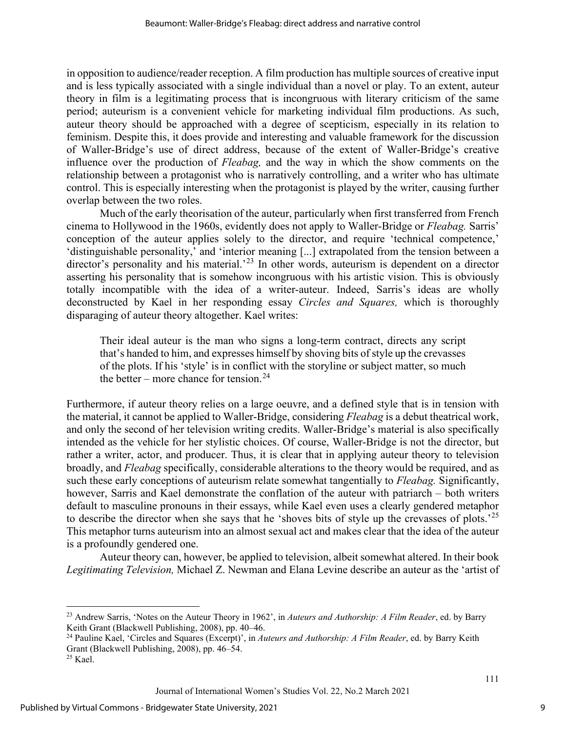in opposition to audience/reader reception. A film production has multiple sources of creative input and is less typically associated with a single individual than a novel or play. To an extent, auteur theory in film is a legitimating process that is incongruous with literary criticism of the same period; auteurism is a convenient vehicle for marketing individual film productions. As such, auteur theory should be approached with a degree of scepticism, especially in its relation to feminism. Despite this, it does provide and interesting and valuable framework for the discussion of Waller-Bridge's use of direct address, because of the extent of Waller-Bridge's creative influence over the production of *Fleabag,* and the way in which the show comments on the relationship between a protagonist who is narratively controlling, and a writer who has ultimate control. This is especially interesting when the protagonist is played by the writer, causing further overlap between the two roles.

Much of the early theorisation of the auteur, particularly when first transferred from French cinema to Hollywood in the 1960s, evidently does not apply to Waller-Bridge or *Fleabag.* Sarris' conception of the auteur applies solely to the director, and require 'technical competence,' 'distinguishable personality,' and 'interior meaning [...] extrapolated from the tension between a director's personality and his material.<sup>[23](#page-9-0)</sup> In other words, auteurism is dependent on a director asserting his personality that is somehow incongruous with his artistic vision. This is obviously totally incompatible with the idea of a writer-auteur. Indeed, Sarris's ideas are wholly deconstructed by Kael in her responding essay *Circles and Squares,* which is thoroughly disparaging of auteur theory altogether. Kael writes:

Their ideal auteur is the man who signs a long-term contract, directs any script that's handed to him, and expresses himself by shoving bits of style up the crevasses of the plots. If his 'style' is in conflict with the storyline or subject matter, so much the better – more chance for tension.<sup>[24](#page-9-1)</sup>

Furthermore, if auteur theory relies on a large oeuvre, and a defined style that is in tension with the material, it cannot be applied to Waller-Bridge, considering *Fleabag* is a debut theatrical work, and only the second of her television writing credits. Waller-Bridge's material is also specifically intended as the vehicle for her stylistic choices. Of course, Waller-Bridge is not the director, but rather a writer, actor, and producer. Thus, it is clear that in applying auteur theory to television broadly, and *Fleabag* specifically, considerable alterations to the theory would be required, and as such these early conceptions of auteurism relate somewhat tangentially to *Fleabag.* Significantly, however, Sarris and Kael demonstrate the conflation of the auteur with patriarch – both writers default to masculine pronouns in their essays, while Kael even uses a clearly gendered metaphor to describe the director when she says that he 'shoves bits of style up the crevasses of plots.'[25](#page-9-2) This metaphor turns auteurism into an almost sexual act and makes clear that the idea of the auteur is a profoundly gendered one.

Auteur theory can, however, be applied to television, albeit somewhat altered. In their book *Legitimating Television,* Michael Z. Newman and Elana Levine describe an auteur as the 'artist of

<span id="page-9-0"></span><sup>23</sup> Andrew Sarris, 'Notes on the Auteur Theory in 1962', in *Auteurs and Authorship: A Film Reader*, ed. by Barry Keith Grant (Blackwell Publishing, 2008), pp. 40–46.

<span id="page-9-1"></span><sup>24</sup> Pauline Kael, 'Circles and Squares (Excerpt)', in *Auteurs and Authorship: A Film Reader*, ed. by Barry Keith Grant (Blackwell Publishing, 2008), pp. 46–54.

<span id="page-9-2"></span><sup>25</sup> Kael.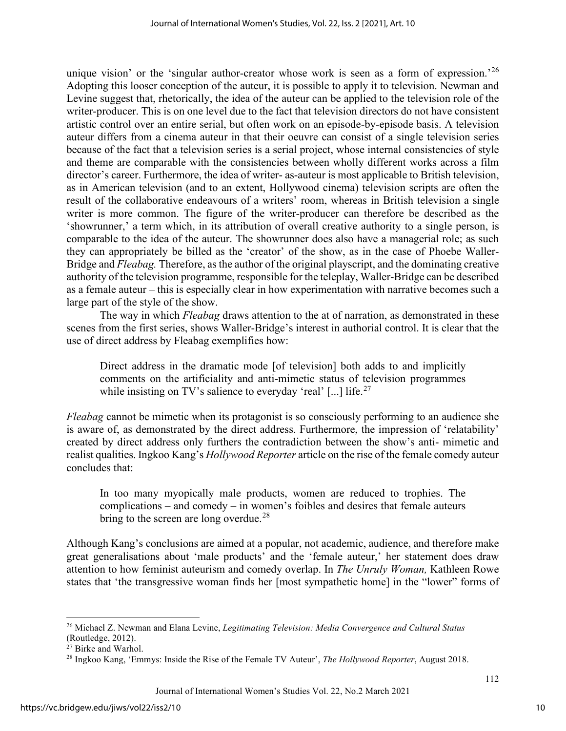unique vision' or the 'singular author-creator whose work is seen as a form of expression.<sup>'[26](#page-10-0)</sup> Adopting this looser conception of the auteur, it is possible to apply it to television. Newman and Levine suggest that, rhetorically, the idea of the auteur can be applied to the television role of the writer-producer. This is on one level due to the fact that television directors do not have consistent artistic control over an entire serial, but often work on an episode-by-episode basis. A television auteur differs from a cinema auteur in that their oeuvre can consist of a single television series because of the fact that a television series is a serial project, whose internal consistencies of style and theme are comparable with the consistencies between wholly different works across a film director's career. Furthermore, the idea of writer- as-auteur is most applicable to British television, as in American television (and to an extent, Hollywood cinema) television scripts are often the result of the collaborative endeavours of a writers' room, whereas in British television a single writer is more common. The figure of the writer-producer can therefore be described as the 'showrunner,' a term which, in its attribution of overall creative authority to a single person, is comparable to the idea of the auteur. The showrunner does also have a managerial role; as such they can appropriately be billed as the 'creator' of the show, as in the case of Phoebe Waller-Bridge and *Fleabag.* Therefore, as the author of the original playscript, and the dominating creative authority of the television programme, responsible for the teleplay, Waller-Bridge can be described as a female auteur – this is especially clear in how experimentation with narrative becomes such a large part of the style of the show.

The way in which *Fleabag* draws attention to the at of narration, as demonstrated in these scenes from the first series, shows Waller-Bridge's interest in authorial control. It is clear that the use of direct address by Fleabag exemplifies how:

Direct address in the dramatic mode [of television] both adds to and implicitly comments on the artificiality and anti-mimetic status of television programmes while insisting on TV's salience to everyday 'real' [...] life.<sup>27</sup>

*Fleabag* cannot be mimetic when its protagonist is so consciously performing to an audience she is aware of, as demonstrated by the direct address. Furthermore, the impression of 'relatability' created by direct address only furthers the contradiction between the show's anti- mimetic and realist qualities. Ingkoo Kang's *Hollywood Reporter* article on the rise of the female comedy auteur concludes that:

In too many myopically male products, women are reduced to trophies. The complications – and comedy – in women's foibles and desires that female auteurs bring to the screen are long overdue.<sup>[28](#page-10-2)</sup>

Although Kang's conclusions are aimed at a popular, not academic, audience, and therefore make great generalisations about 'male products' and the 'female auteur,' her statement does draw attention to how feminist auteurism and comedy overlap. In *The Unruly Woman,* Kathleen Rowe states that 'the transgressive woman finds her [most sympathetic home] in the "lower" forms of

<span id="page-10-0"></span><sup>26</sup> Michael Z. Newman and Elana Levine, *Legitimating Television: Media Convergence and Cultural Status* (Routledge, 2012).

<span id="page-10-1"></span> $27$  Birke and Warhol.

<span id="page-10-2"></span><sup>28</sup> Ingkoo Kang, 'Emmys: Inside the Rise of the Female TV Auteur', *The Hollywood Reporter*, August 2018.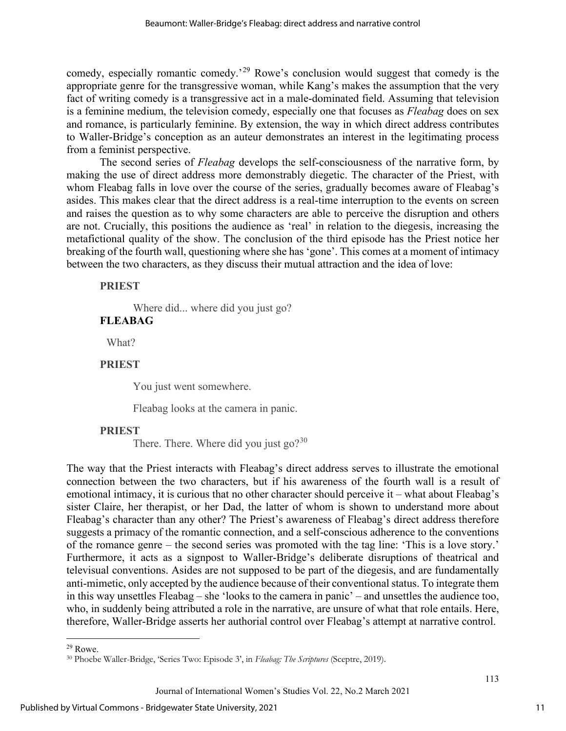comedy, especially romantic comedy.'[29](#page-11-0) Rowe's conclusion would suggest that comedy is the appropriate genre for the transgressive woman, while Kang's makes the assumption that the very fact of writing comedy is a transgressive act in a male-dominated field. Assuming that television is a feminine medium, the television comedy, especially one that focuses as *Fleabag* does on sex and romance, is particularly feminine. By extension, the way in which direct address contributes to Waller-Bridge's conception as an auteur demonstrates an interest in the legitimating process from a feminist perspective.

The second series of *Fleabag* develops the self-consciousness of the narrative form, by making the use of direct address more demonstrably diegetic. The character of the Priest, with whom Fleabag falls in love over the course of the series, gradually becomes aware of Fleabag's asides. This makes clear that the direct address is a real-time interruption to the events on screen and raises the question as to why some characters are able to perceive the disruption and others are not. Crucially, this positions the audience as 'real' in relation to the diegesis, increasing the metafictional quality of the show. The conclusion of the third episode has the Priest notice her breaking of the fourth wall, questioning where she has 'gone'. This comes at a moment of intimacy between the two characters, as they discuss their mutual attraction and the idea of love:

**PRIEST** 

Where did... where did you just go?

## **FLEABAG**

What?

#### **PRIEST**

You just went somewhere.

Fleabag looks at the camera in panic.

#### **PRIEST**

There. There. Where did you just  $\gamma^{30}$ 

The way that the Priest interacts with Fleabag's direct address serves to illustrate the emotional connection between the two characters, but if his awareness of the fourth wall is a result of emotional intimacy, it is curious that no other character should perceive it – what about Fleabag's sister Claire, her therapist, or her Dad, the latter of whom is shown to understand more about Fleabag's character than any other? The Priest's awareness of Fleabag's direct address therefore suggests a primacy of the romantic connection, and a self-conscious adherence to the conventions of the romance genre – the second series was promoted with the tag line: 'This is a love story.' Furthermore, it acts as a signpost to Waller-Bridge's deliberate disruptions of theatrical and televisual conventions. Asides are not supposed to be part of the diegesis, and are fundamentally anti-mimetic, only accepted by the audience because of their conventional status. To integrate them in this way unsettles Fleabag – she 'looks to the camera in panic' – and unsettles the audience too, who, in suddenly being attributed a role in the narrative, are unsure of what that role entails. Here, therefore, Waller-Bridge asserts her authorial control over Fleabag's attempt at narrative control.

<span id="page-11-0"></span> $29$  Rowe.

<span id="page-11-1"></span><sup>30</sup> Phoebe Waller-Bridge, 'Series Two: Episode 3', in *Fleabag: The Scriptures* (Sceptre, 2019).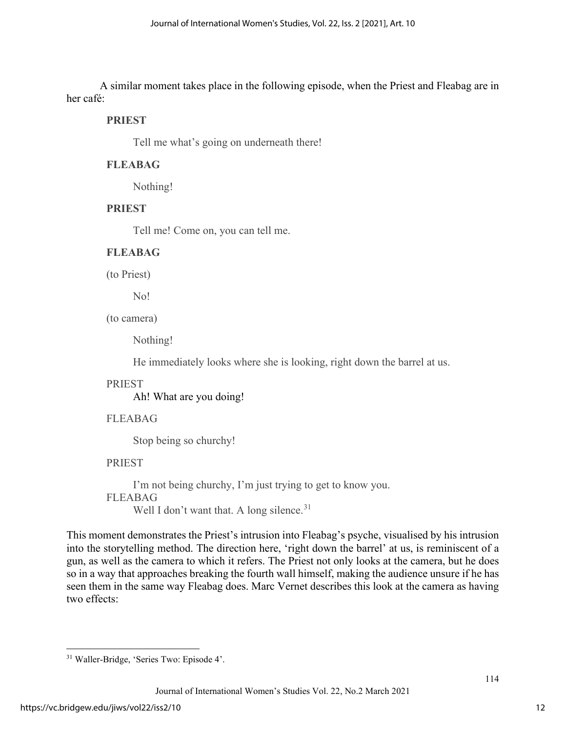A similar moment takes place in the following episode, when the Priest and Fleabag are in her café:

#### **PRIEST**

Tell me what's going on underneath there!

#### **FLEABAG**

Nothing!

#### **PRIEST**

Tell me! Come on, you can tell me.

#### **FLEABAG**

(to Priest)

No!

(to camera)

Nothing!

He immediately looks where she is looking, right down the barrel at us.

#### PRIEST

Ah! What are you doing!

#### FLEABAG

Stop being so churchy!

#### PRIEST

I'm not being churchy, I'm just trying to get to know you. FLEABAG Well I don't want that. A long silence. $31$ 

This moment demonstrates the Priest's intrusion into Fleabag's psyche, visualised by his intrusion into the storytelling method. The direction here, 'right down the barrel' at us, is reminiscent of a gun, as well as the camera to which it refers. The Priest not only looks at the camera, but he does so in a way that approaches breaking the fourth wall himself, making the audience unsure if he has seen them in the same way Fleabag does. Marc Vernet describes this look at the camera as having two effects:

<span id="page-12-0"></span><sup>31</sup> Waller-Bridge, 'Series Two: Episode 4'.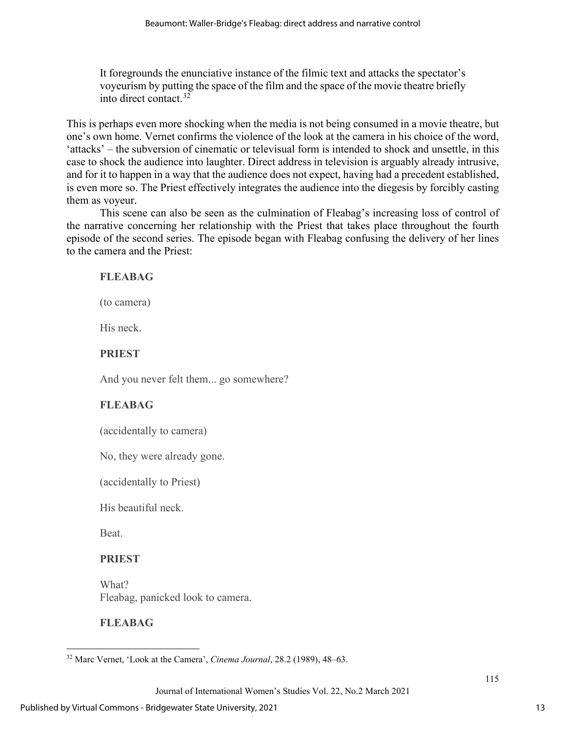It foregrounds the enunciative instance of the filmic text and attacks the spectator's voyeurism by putting the space of the film and the space of the movie theatre briefly into direct contact.[32](#page-13-0)

This is perhaps even more shocking when the media is not being consumed in a movie theatre, but one's own home. Vernet confirms the violence of the look at the camera in his choice of the word, 'attacks' – the subversion of cinematic or televisual form is intended to shock and unsettle, in this case to shock the audience into laughter. Direct address in television is arguably already intrusive, and for it to happen in a way that the audience does not expect, having had a precedent established, is even more so. The Priest effectively integrates the audience into the diegesis by forcibly casting them as voyeur.

This scene can also be seen as the culmination of Fleabag's increasing loss of control of the narrative concerning her relationship with the Priest that takes place throughout the fourth episode of the second series. The episode began with Fleabag confusing the delivery of her lines to the camera and the Priest:

## **FLEABAG**

(to camera)

His neck.

## **PRIEST**

And you never felt them... go somewhere?

## **FLEABAG**

(accidentally to camera)

No, they were already gone.

(accidentally to Priest)

His beautiful neck.

Beat.

## **PRIEST**

What? Fleabag, panicked look to camera.

## **FLEABAG**

<span id="page-13-0"></span><sup>32</sup> Marc Vernet, 'Look at the Camera', *Cinema Journal*, 28.2 (1989), 48–63.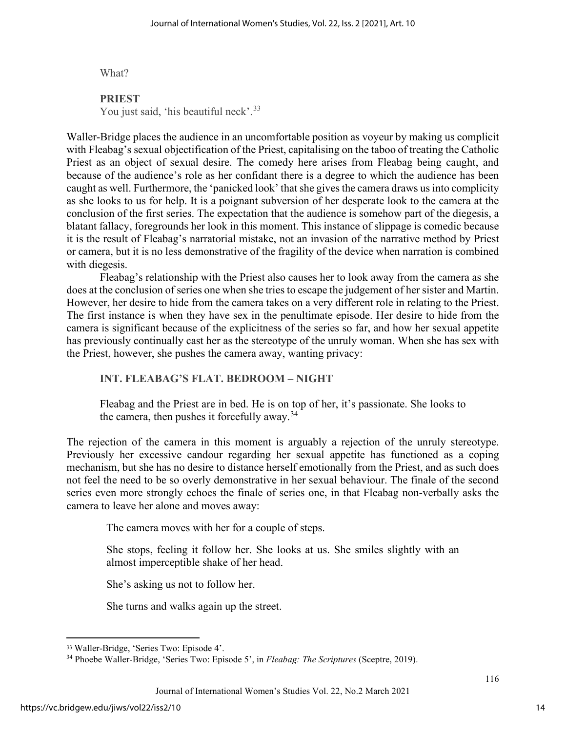What?

## **PRIEST**

You just said, 'his beautiful neck'.<sup>[33](#page-14-0)</sup>

Waller-Bridge places the audience in an uncomfortable position as voyeur by making us complicit with Fleabag's sexual objectification of the Priest, capitalising on the taboo of treating the Catholic Priest as an object of sexual desire. The comedy here arises from Fleabag being caught, and because of the audience's role as her confidant there is a degree to which the audience has been caught as well. Furthermore, the 'panicked look' that she gives the camera draws us into complicity as she looks to us for help. It is a poignant subversion of her desperate look to the camera at the conclusion of the first series. The expectation that the audience is somehow part of the diegesis, a blatant fallacy, foregrounds her look in this moment. This instance of slippage is comedic because it is the result of Fleabag's narratorial mistake, not an invasion of the narrative method by Priest or camera, but it is no less demonstrative of the fragility of the device when narration is combined with diegesis.

Fleabag's relationship with the Priest also causes her to look away from the camera as she does at the conclusion of series one when she tries to escape the judgement of her sister and Martin. However, her desire to hide from the camera takes on a very different role in relating to the Priest. The first instance is when they have sex in the penultimate episode. Her desire to hide from the camera is significant because of the explicitness of the series so far, and how her sexual appetite has previously continually cast her as the stereotype of the unruly woman. When she has sex with the Priest, however, she pushes the camera away, wanting privacy:

## **INT. FLEABAG'S FLAT. BEDROOM – NIGHT**

Fleabag and the Priest are in bed. He is on top of her, it's passionate. She looks to the camera, then pushes it forcefully away.  $34$ 

The rejection of the camera in this moment is arguably a rejection of the unruly stereotype. Previously her excessive candour regarding her sexual appetite has functioned as a coping mechanism, but she has no desire to distance herself emotionally from the Priest, and as such does not feel the need to be so overly demonstrative in her sexual behaviour. The finale of the second series even more strongly echoes the finale of series one, in that Fleabag non-verbally asks the camera to leave her alone and moves away:

The camera moves with her for a couple of steps.

She stops, feeling it follow her. She looks at us. She smiles slightly with an almost imperceptible shake of her head.

She's asking us not to follow her.

She turns and walks again up the street.

<span id="page-14-0"></span><sup>33</sup> Waller-Bridge, 'Series Two: Episode 4'.

<span id="page-14-1"></span><sup>34</sup> Phoebe Waller-Bridge, 'Series Two: Episode 5', in *Fleabag: The Scriptures* (Sceptre, 2019).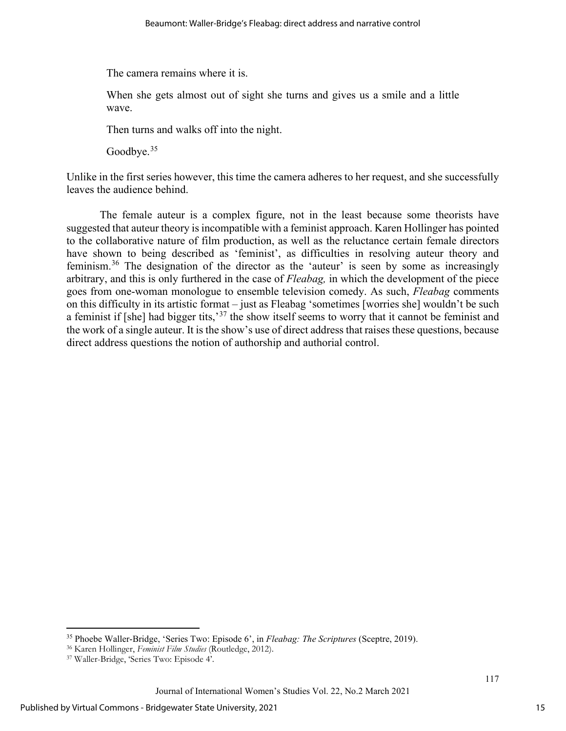The camera remains where it is.

When she gets almost out of sight she turns and gives us a smile and a little wave.

Then turns and walks off into the night.

Goodbye.<sup>35</sup>

Unlike in the first series however, this time the camera adheres to her request, and she successfully leaves the audience behind.

The female auteur is a complex figure, not in the least because some theorists have suggested that auteur theory is incompatible with a feminist approach. Karen Hollinger has pointed to the collaborative nature of film production, as well as the reluctance certain female directors have shown to being described as 'feminist', as difficulties in resolving auteur theory and feminism.[36](#page-15-1) The designation of the director as the 'auteur' is seen by some as increasingly arbitrary, and this is only furthered in the case of *Fleabag,* in which the development of the piece goes from one-woman monologue to ensemble television comedy. As such, *Fleabag* comments on this difficulty in its artistic format – just as Fleabag 'sometimes [worries she] wouldn't be such a feminist if [she] had bigger tits,<sup>[37](#page-15-2)</sup> the show itself seems to worry that it cannot be feminist and the work of a single auteur. It is the show's use of direct address that raises these questions, because direct address questions the notion of authorship and authorial control.

<span id="page-15-0"></span><sup>35</sup> Phoebe Waller-Bridge, 'Series Two: Episode 6', in *Fleabag: The Scriptures* (Sceptre, 2019).

<span id="page-15-1"></span><sup>36</sup> Karen Hollinger, *Feminist Film Studies* (Routledge, 2012).

<span id="page-15-2"></span><sup>37</sup> Waller-Bridge, 'Series Two: Episode 4'.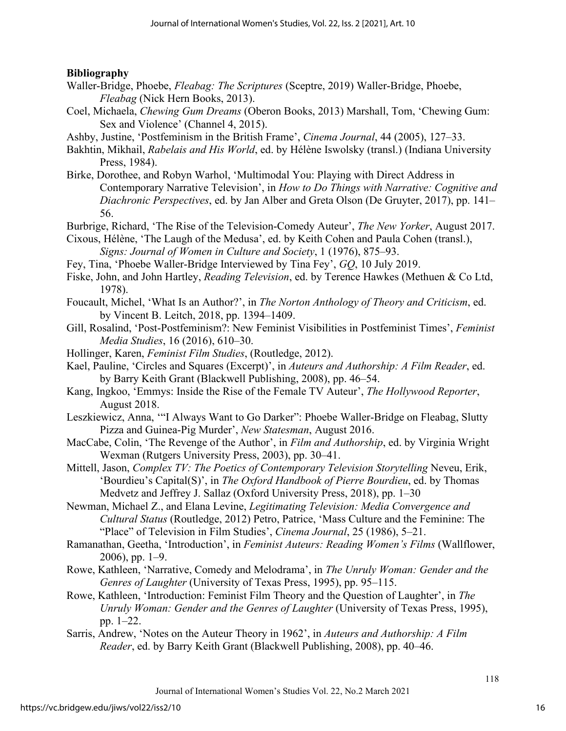## **Bibliography**

- Waller-Bridge, Phoebe, *Fleabag: The Scriptures* (Sceptre, 2019) Waller-Bridge, Phoebe, *Fleabag* (Nick Hern Books, 2013).
- Coel, Michaela, *Chewing Gum Dreams* (Oberon Books, 2013) Marshall, Tom, 'Chewing Gum: Sex and Violence' (Channel 4, 2015).
- Ashby, Justine, 'Postfeminism in the British Frame', *Cinema Journal*, 44 (2005), 127–33.
- Bakhtin, Mikhail, *Rabelais and His World*, ed. by Hélène Iswolsky (transl.) (Indiana University Press, 1984).
- Birke, Dorothee, and Robyn Warhol, 'Multimodal You: Playing with Direct Address in Contemporary Narrative Television', in *How to Do Things with Narrative: Cognitive and Diachronic Perspectives*, ed. by Jan Alber and Greta Olson (De Gruyter, 2017), pp. 141– 56.
- Burbrige, Richard, 'The Rise of the Television-Comedy Auteur', *The New Yorker*, August 2017.
- Cixous, Hélène, 'The Laugh of the Medusa', ed. by Keith Cohen and Paula Cohen (transl.), *Signs: Journal of Women in Culture and Society*, 1 (1976), 875–93.
- Fey, Tina, 'Phoebe Waller-Bridge Interviewed by Tina Fey', *GQ*, 10 July 2019.
- Fiske, John, and John Hartley, *Reading Television*, ed. by Terence Hawkes (Methuen & Co Ltd, 1978).
- Foucault, Michel, 'What Is an Author?', in *The Norton Anthology of Theory and Criticism*, ed. by Vincent B. Leitch, 2018, pp. 1394–1409.
- Gill, Rosalind, 'Post-Postfeminism?: New Feminist Visibilities in Postfeminist Times', *Feminist Media Studies*, 16 (2016), 610–30.
- Hollinger, Karen, *Feminist Film Studies*, (Routledge, 2012).
- Kael, Pauline, 'Circles and Squares (Excerpt)', in *Auteurs and Authorship: A Film Reader*, ed. by Barry Keith Grant (Blackwell Publishing, 2008), pp. 46–54.
- Kang, Ingkoo, 'Emmys: Inside the Rise of the Female TV Auteur', *The Hollywood Reporter*, August 2018.
- Leszkiewicz, Anna, '"I Always Want to Go Darker": Phoebe Waller-Bridge on Fleabag, Slutty Pizza and Guinea-Pig Murder', *New Statesman*, August 2016.
- MacCabe, Colin, 'The Revenge of the Author', in *Film and Authorship*, ed. by Virginia Wright Wexman (Rutgers University Press, 2003), pp. 30–41.
- Mittell, Jason, *Complex TV: The Poetics of Contemporary Television Storytelling* Neveu, Erik, 'Bourdieu's Capital(S)', in *The Oxford Handbook of Pierre Bourdieu*, ed. by Thomas Medvetz and Jeffrey J. Sallaz (Oxford University Press, 2018), pp. 1–30
- Newman, Michael Z., and Elana Levine, *Legitimating Television: Media Convergence and Cultural Status* (Routledge, 2012) Petro, Patrice, 'Mass Culture and the Feminine: The "Place" of Television in Film Studies', *Cinema Journal*, 25 (1986), 5–21.
- Ramanathan, Geetha, 'Introduction', in *Feminist Auteurs: Reading Women's Films* (Wallflower, 2006), pp. 1–9.
- Rowe, Kathleen, 'Narrative, Comedy and Melodrama', in *The Unruly Woman: Gender and the Genres of Laughter* (University of Texas Press, 1995), pp. 95–115.
- Rowe, Kathleen, 'Introduction: Feminist Film Theory and the Question of Laughter', in *The Unruly Woman: Gender and the Genres of Laughter* (University of Texas Press, 1995), pp. 1–22.
- Sarris, Andrew, 'Notes on the Auteur Theory in 1962', in *Auteurs and Authorship: A Film Reader*, ed. by Barry Keith Grant (Blackwell Publishing, 2008), pp. 40–46.